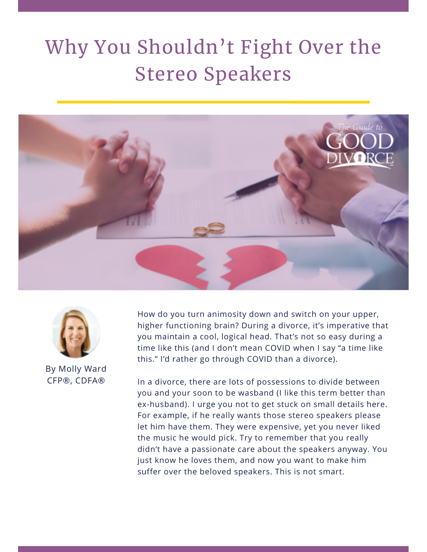## Why You Shouldn't Fight Over the Stereo Speakers





By Molly Ward CFP®, CDFA®

How do you turn animosity down and switch on your upper, higher functioning brain? During a divorce, it's imperative that you maintain a cool, logical head. That's not so easy during a time like this (and I don't mean COVID when I say "a time like this." I'd rather go through COVID than a divorce).

In a divorce, there are lots of possessions to divide between you and your soon to be wasband (I like this term better than ex-husband). I urge you not to get stuck on small details here. For example, if he really wants those stereo speakers please let him have them. They were expensive, yet you never liked the music he would pick. Try to remember that you really didn't have a passionate care about the speakers anyway. You just know he loves them, and now you want to make him suffer over the beloved speakers. This is not smart.